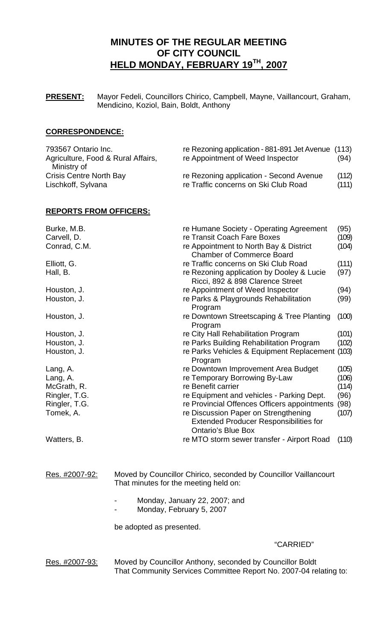# **MINUTES OF THE REGULAR MEETING OF CITY COUNCIL HELD MONDAY, FEBRUARY 19TH, 2007**

**PRESENT:** Mayor Fedeli, Councillors Chirico, Campbell, Mayne, Vaillancourt, Graham, Mendicino, Koziol, Bain, Boldt, Anthony

# **CORRESPONDENCE:**

| 793567 Ontario Inc.<br>Agriculture, Food & Rural Affairs,           | re Rezoning application - 881-891 Jet Avenue (113)<br>re Appointment of Weed Inspector | (94)           |
|---------------------------------------------------------------------|----------------------------------------------------------------------------------------|----------------|
| Ministry of<br><b>Crisis Centre North Bay</b><br>Lischkoff, Sylvana | re Rezoning application - Second Avenue<br>re Traffic concerns on Ski Club Road        | (112)<br>(111) |

# **REPORTS FROM OFFICERS:**

| Burke, M.B.<br>Carvell, D. | re Humane Society - Operating Agreement<br>re Transit Coach Fare Boxes                                             | (95)<br>(109) |
|----------------------------|--------------------------------------------------------------------------------------------------------------------|---------------|
| Conrad, C.M.               | re Appointment to North Bay & District<br><b>Chamber of Commerce Board</b>                                         | (104)         |
| Elliott, G.                | re Traffic concerns on Ski Club Road                                                                               | (111)         |
| Hall, B.                   | re Rezoning application by Dooley & Lucie<br>Ricci, 892 & 898 Clarence Street                                      | (97)          |
| Houston, J.                | re Appointment of Weed Inspector                                                                                   | (94)          |
| Houston, J.                | re Parks & Playgrounds Rehabilitation<br>Program                                                                   | (99)          |
| Houston, J.                | re Downtown Streetscaping & Tree Planting<br>Program                                                               | (100)         |
| Houston, J.                | re City Hall Rehabilitation Program                                                                                | (101)         |
| Houston, J.                | re Parks Building Rehabilitation Program                                                                           | (102)         |
| Houston, J.                | re Parks Vehicles & Equipment Replacement (103)<br>Program                                                         |               |
| Lang, A.                   | re Downtown Improvement Area Budget                                                                                | (105)         |
| Lang, A.                   | re Temporary Borrowing By-Law                                                                                      | (106)         |
| McGrath, R.                | re Benefit carrier                                                                                                 | (114)         |
| Ringler, T.G.              | re Equipment and vehicles - Parking Dept.                                                                          | (96)          |
| Ringler, T.G.              | re Provincial Offences Officers appointments                                                                       | (98)          |
| Tomek, A.                  | re Discussion Paper on Strengthening<br><b>Extended Producer Responsibilities for</b><br><b>Ontario's Blue Box</b> | (107)         |
| Watters, B.                | re MTO storm sewer transfer - Airport Road                                                                         | (110)         |

Res. #2007-92: Moved by Councillor Chirico, seconded by Councillor Vaillancourt That minutes for the meeting held on:

- Monday, January 22, 2007; and
- Monday, February 5, 2007

be adopted as presented.

## "CARRIED"

Res. #2007-93: Moved by Councillor Anthony, seconded by Councillor Boldt That Community Services Committee Report No. 2007-04 relating to: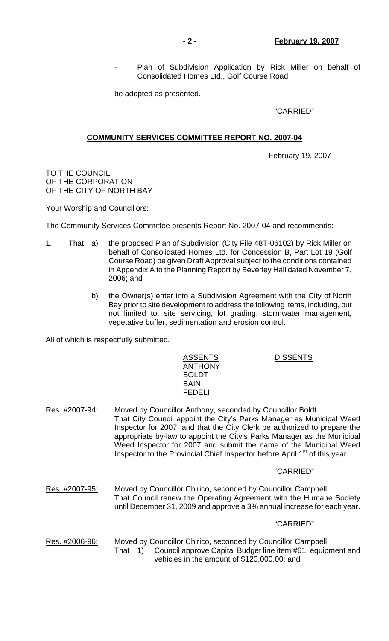Plan of Subdivision Application by Rick Miller on behalf of Consolidated Homes Ltd., Golf Course Road

be adopted as presented.

"CARRIED"

# **COMMUNITY SERVICES COMMITTEE REPORT NO. 2007-04**

February 19, 2007

TO THE COUNCIL OF THE CORPORATION OF THE CITY OF NORTH BAY

Your Worship and Councillors:

The Community Services Committee presents Report No. 2007-04 and recommends:

- 1. That a) the proposed Plan of Subdivision (City File 48T-06102) by Rick Miller on behalf of Consolidated Homes Ltd. for Concession B, Part Lot 19 (Golf Course Road) be given Draft Approval subject to the conditions contained in Appendix A to the Planning Report by Beverley Hall dated November 7, 2006; and
	- b) the Owner(s) enter into a Subdivision Agreement with the City of North Bay prior to site development to address the following items, including, but not limited to, site servicing, lot grading, stormwater management, vegetative buffer, sedimentation and erosion control.

All of which is respectfully submitted.

ASSENTS DISSENTS ANTHONY BOLDT **BAIN** FEDELI

Res. #2007-94: Moved by Councillor Anthony, seconded by Councillor Boldt That City Council appoint the City's Parks Manager as Municipal Weed Inspector for 2007, and that the City Clerk be authorized to prepare the appropriate by-law to appoint the City's Parks Manager as the Municipal Weed Inspector for 2007 and submit the name of the Municipal Weed Inspector to the Provincial Chief Inspector before April  $1<sup>st</sup>$  of this year.

#### "CARRIED"

Res. #2007-95: Moved by Councillor Chirico, seconded by Councillor Campbell That Council renew the Operating Agreement with the Humane Society until December 31, 2009 and approve a 3% annual increase for each year.

#### "CARRIED"

Res. #2006-96: Moved by Councillor Chirico, seconded by Councillor Campbell That 1) Council approve Capital Budget line item #61, equipment and vehicles in the amount of \$120,000.00; and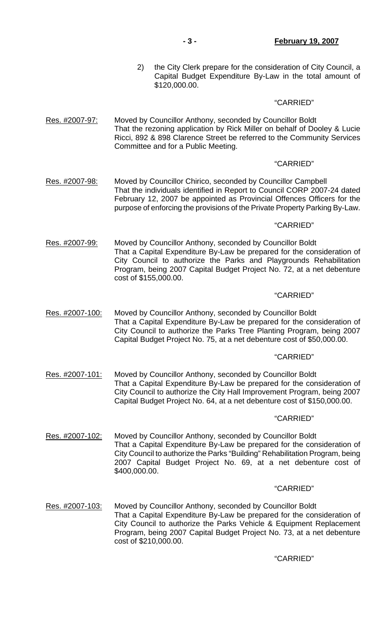2) the City Clerk prepare for the consideration of City Council, a Capital Budget Expenditure By-Law in the total amount of \$120,000.00.

### "CARRIED"

Res. #2007-97: Moved by Councillor Anthony, seconded by Councillor Boldt That the rezoning application by Rick Miller on behalf of Dooley & Lucie Ricci, 892 & 898 Clarence Street be referred to the Community Services Committee and for a Public Meeting.

#### "CARRIED"

Res. #2007-98: Moved by Councillor Chirico, seconded by Councillor Campbell That the individuals identified in Report to Council CORP 2007-24 dated February 12, 2007 be appointed as Provincial Offences Officers for the purpose of enforcing the provisions of the Private Property Parking By-Law.

### "CARRIED"

Res. #2007-99: Moved by Councillor Anthony, seconded by Councillor Boldt That a Capital Expenditure By-Law be prepared for the consideration of City Council to authorize the Parks and Playgrounds Rehabilitation Program, being 2007 Capital Budget Project No. 72, at a net debenture cost of \$155,000.00.

#### "CARRIED"

Res. #2007-100: Moved by Councillor Anthony, seconded by Councillor Boldt That a Capital Expenditure By-Law be prepared for the consideration of City Council to authorize the Parks Tree Planting Program, being 2007 Capital Budget Project No. 75, at a net debenture cost of \$50,000.00.

#### "CARRIED"

Res. #2007-101: Moved by Councillor Anthony, seconded by Councillor Boldt That a Capital Expenditure By-Law be prepared for the consideration of City Council to authorize the City Hall Improvement Program, being 2007 Capital Budget Project No. 64, at a net debenture cost of \$150,000.00.

#### "CARRIED"

Res. #2007-102: Moved by Councillor Anthony, seconded by Councillor Boldt That a Capital Expenditure By-Law be prepared for the consideration of City Council to authorize the Parks "Building" Rehabilitation Program, being 2007 Capital Budget Project No. 69, at a net debenture cost of \$400,000.00.

#### "CARRIED"

Res. #2007-103: Moved by Councillor Anthony, seconded by Councillor Boldt That a Capital Expenditure By-Law be prepared for the consideration of City Council to authorize the Parks Vehicle & Equipment Replacement Program, being 2007 Capital Budget Project No. 73, at a net debenture cost of \$210,000.00.

# "CARRIED"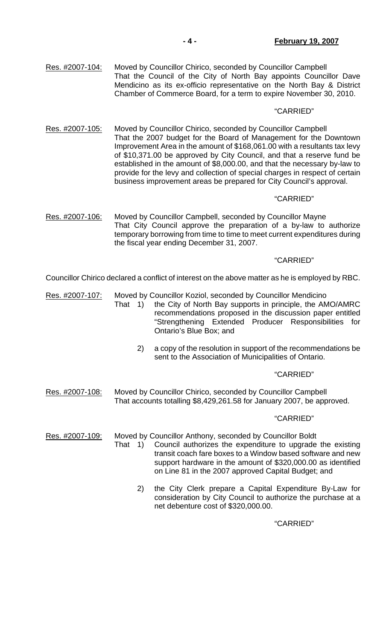Res. #2007-104: Moved by Councillor Chirico, seconded by Councillor Campbell That the Council of the City of North Bay appoints Councillor Dave Mendicino as its ex-officio representative on the North Bay & District Chamber of Commerce Board, for a term to expire November 30, 2010.

### "CARRIED"

Res. #2007-105: Moved by Councillor Chirico, seconded by Councillor Campbell That the 2007 budget for the Board of Management for the Downtown Improvement Area in the amount of \$168,061.00 with a resultants tax levy of \$10,371.00 be approved by City Council, and that a reserve fund be established in the amount of \$8,000.00, and that the necessary by-law to provide for the levy and collection of special charges in respect of certain business improvement areas be prepared for City Council's approval.

# "CARRIED"

Res. #2007-106: Moved by Councillor Campbell, seconded by Councillor Mayne That City Council approve the preparation of a by-law to authorize temporary borrowing from time to time to meet current expenditures during the fiscal year ending December 31, 2007.

#### "CARRIED"

Councillor Chirico declared a conflict of interest on the above matter as he is employed by RBC.

- Res. #2007-107: Moved by Councillor Koziol, seconded by Councillor Mendicino That 1) the City of North Bay supports in principle, the AMO/AMRC
	- recommendations proposed in the discussion paper entitled "Strengthening Extended Producer Responsibilities for Ontario's Blue Box; and
		- 2) a copy of the resolution in support of the recommendations be sent to the Association of Municipalities of Ontario.

#### "CARRIED"

Res. #2007-108: Moved by Councillor Chirico, seconded by Councillor Campbell That accounts totalling \$8,429,261.58 for January 2007, be approved.

#### "CARRIED"

Res. #2007-109: Moved by Councillor Anthony, seconded by Councillor Boldt

- That 1) Council authorizes the expenditure to upgrade the existing transit coach fare boxes to a Window based software and new support hardware in the amount of \$320,000.00 as identified on Line 81 in the 2007 approved Capital Budget; and
	- 2) the City Clerk prepare a Capital Expenditure By-Law for consideration by City Council to authorize the purchase at a net debenture cost of \$320,000.00.

"CARRIED"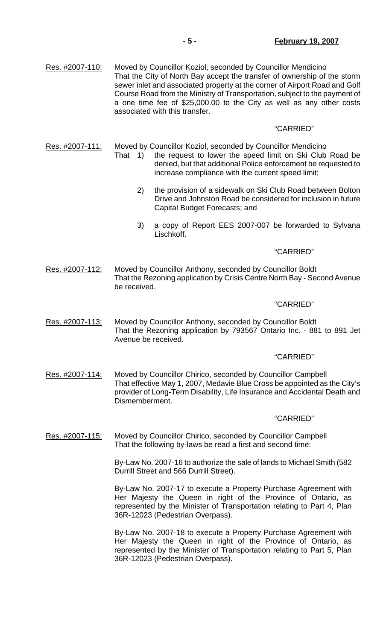Res. #2007-110: Moved by Councillor Koziol, seconded by Councillor Mendicino That the City of North Bay accept the transfer of ownership of the storm sewer inlet and associated property at the corner of Airport Road and Golf Course Road from the Ministry of Transportation, subject to the payment of a one time fee of \$25,000.00 to the City as well as any other costs associated with this transfer.

# "CARRIED"

Res. #2007-111: Moved by Councillor Koziol, seconded by Councillor Mendicino

- That 1) the request to lower the speed limit on Ski Club Road be denied, but that additional Police enforcement be requested to increase compliance with the current speed limit;
	- 2) the provision of a sidewalk on Ski Club Road between Bolton Drive and Johnston Road be considered for inclusion in future Capital Budget Forecasts; and
	- 3) a copy of Report EES 2007-007 be forwarded to Sylvana Lischkoff.

### "CARRIED"

Res. #2007-112: Moved by Councillor Anthony, seconded by Councillor Boldt That the Rezoning application by Crisis Centre North Bay - Second Avenue be received.

#### "CARRIED"

Res. #2007-113: Moved by Councillor Anthony, seconded by Councillor Boldt That the Rezoning application by 793567 Ontario Inc. - 881 to 891 Jet Avenue be received.

#### "CARRIED"

Res. #2007-114: Moved by Councillor Chirico, seconded by Councillor Campbell That effective May 1, 2007, Medavie Blue Cross be appointed as the City's provider of Long-Term Disability, Life Insurance and Accidental Death and Dismemberment.

#### "CARRIED"

Res. #2007-115: Moved by Councillor Chirico, seconded by Councillor Campbell That the following by-laws be read a first and second time:

> By-Law No. 2007-16 to authorize the sale of lands to Michael Smith (582 Durrill Street and 566 Durrill Street).

> By-Law No. 2007-17 to execute a Property Purchase Agreement with Her Majesty the Queen in right of the Province of Ontario, as represented by the Minister of Transportation relating to Part 4, Plan 36R-12023 (Pedestrian Overpass).

> By-Law No. 2007-18 to execute a Property Purchase Agreement with Her Majesty the Queen in right of the Province of Ontario, as represented by the Minister of Transportation relating to Part 5, Plan 36R-12023 (Pedestrian Overpass).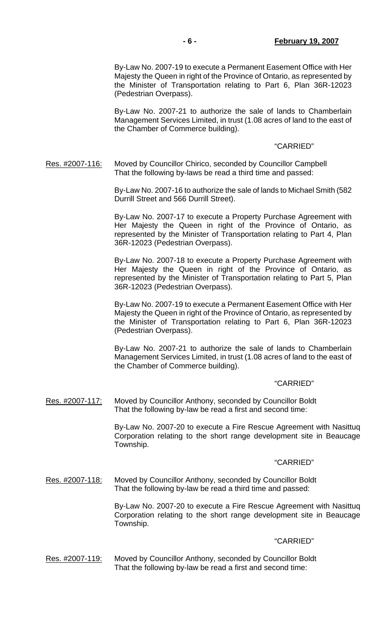By-Law No. 2007-19 to execute a Permanent Easement Office with Her Majesty the Queen in right of the Province of Ontario, as represented by the Minister of Transportation relating to Part 6, Plan 36R-12023 (Pedestrian Overpass).

 By-Law No. 2007-21 to authorize the sale of lands to Chamberlain Management Services Limited, in trust (1.08 acres of land to the east of the Chamber of Commerce building).

### "CARRIED"

Res. #2007-116: Moved by Councillor Chirico, seconded by Councillor Campbell That the following by-laws be read a third time and passed:

> By-Law No. 2007-16 to authorize the sale of lands to Michael Smith (582 Durrill Street and 566 Durrill Street).

> By-Law No. 2007-17 to execute a Property Purchase Agreement with Her Majesty the Queen in right of the Province of Ontario, as represented by the Minister of Transportation relating to Part 4, Plan 36R-12023 (Pedestrian Overpass).

> By-Law No. 2007-18 to execute a Property Purchase Agreement with Her Majesty the Queen in right of the Province of Ontario, as represented by the Minister of Transportation relating to Part 5, Plan 36R-12023 (Pedestrian Overpass).

> By-Law No. 2007-19 to execute a Permanent Easement Office with Her Majesty the Queen in right of the Province of Ontario, as represented by the Minister of Transportation relating to Part 6, Plan 36R-12023 (Pedestrian Overpass).

> By-Law No. 2007-21 to authorize the sale of lands to Chamberlain Management Services Limited, in trust (1.08 acres of land to the east of the Chamber of Commerce building).

#### "CARRIED"

Res. #2007-117: Moved by Councillor Anthony, seconded by Councillor Boldt That the following by-law be read a first and second time:

> By-Law No. 2007-20 to execute a Fire Rescue Agreement with Nasittuq Corporation relating to the short range development site in Beaucage Township.

#### "CARRIED"

Res. #2007-118: Moved by Councillor Anthony, seconded by Councillor Boldt That the following by-law be read a third time and passed:

> By-Law No. 2007-20 to execute a Fire Rescue Agreement with Nasittuq Corporation relating to the short range development site in Beaucage Township.

#### "CARRIED"

Res. #2007-119: Moved by Councillor Anthony, seconded by Councillor Boldt That the following by-law be read a first and second time: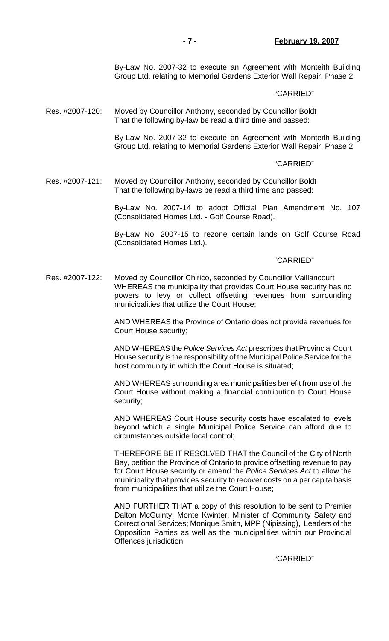By-Law No. 2007-32 to execute an Agreement with Monteith Building Group Ltd. relating to Memorial Gardens Exterior Wall Repair, Phase 2.

#### "CARRIED"

Res. #2007-120: Moved by Councillor Anthony, seconded by Councillor Boldt That the following by-law be read a third time and passed:

> By-Law No. 2007-32 to execute an Agreement with Monteith Building Group Ltd. relating to Memorial Gardens Exterior Wall Repair, Phase 2.

#### "CARRIED"

Res. #2007-121: Moved by Councillor Anthony, seconded by Councillor Boldt That the following by-laws be read a third time and passed:

> By-Law No. 2007-14 to adopt Official Plan Amendment No. 107 (Consolidated Homes Ltd. - Golf Course Road).

> By-Law No. 2007-15 to rezone certain lands on Golf Course Road (Consolidated Homes Ltd.).

#### "CARRIED"

Res. #2007-122: Moved by Councillor Chirico, seconded by Councillor Vaillancourt WHEREAS the municipality that provides Court House security has no powers to levy or collect offsetting revenues from surrounding municipalities that utilize the Court House;

> AND WHEREAS the Province of Ontario does not provide revenues for Court House security;

> AND WHEREAS the *Police Services Act* prescribes that Provincial Court House security is the responsibility of the Municipal Police Service for the host community in which the Court House is situated;

> AND WHEREAS surrounding area municipalities benefit from use of the Court House without making a financial contribution to Court House security;

> AND WHEREAS Court House security costs have escalated to levels beyond which a single Municipal Police Service can afford due to circumstances outside local control;

> THEREFORE BE IT RESOLVED THAT the Council of the City of North Bay, petition the Province of Ontario to provide offsetting revenue to pay for Court House security or amend the *Police Services Act* to allow the municipality that provides security to recover costs on a per capita basis from municipalities that utilize the Court House;

> AND FURTHER THAT a copy of this resolution to be sent to Premier Dalton McGuinty; Monte Kwinter, Minister of Community Safety and Correctional Services; Monique Smith, MPP (Nipissing), Leaders of the Opposition Parties as well as the municipalities within our Provincial Offences jurisdiction.

### "CARRIED"